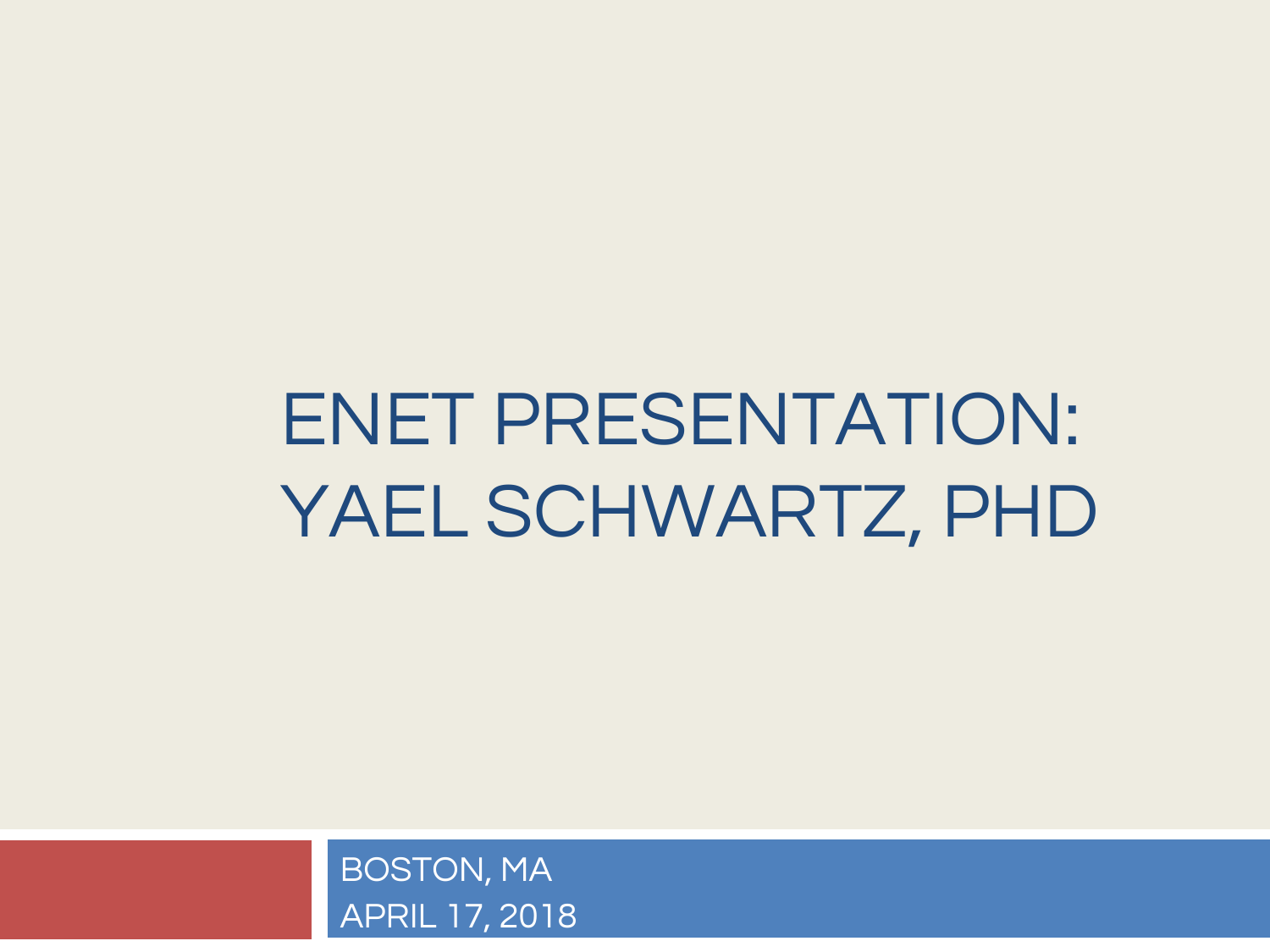## ENET PRESENTATION: YAEL SCHWARTZ, PHD

BOSTON, MA APRIL 17, 2018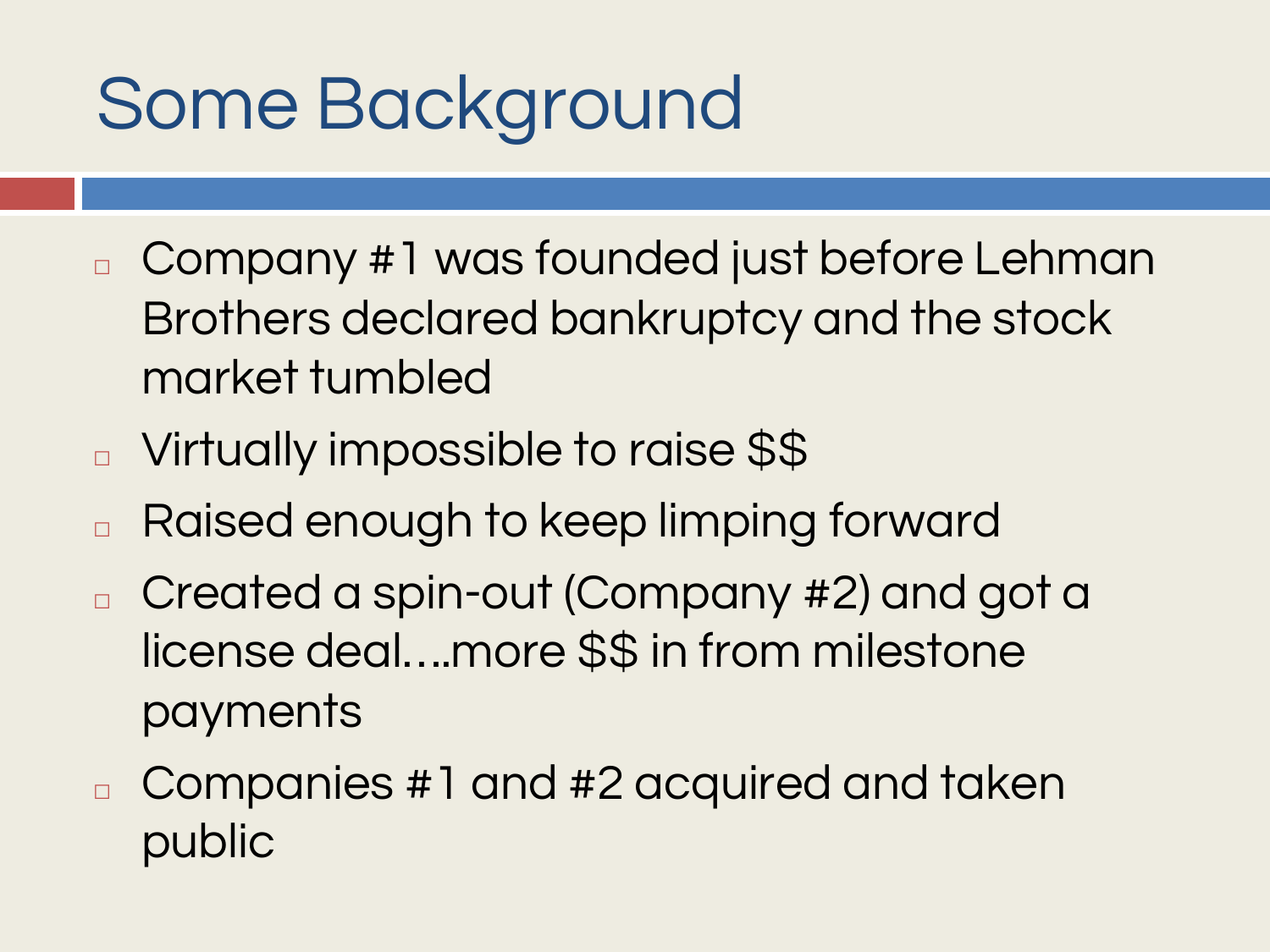## Some Background

- <sup>◻</sup> Company #1 was founded just before Lehman Brothers declared bankruptcy and the stock market tumbled
- □ Virtually impossible to raise \$\$
- □ Raised enough to keep limping forward
- <sup>◻</sup> Created a spin-out (Company #2) and got a license deal….more \$\$ in from milestone payments
- <sup>◻</sup> Companies #1 and #2 acquired and taken public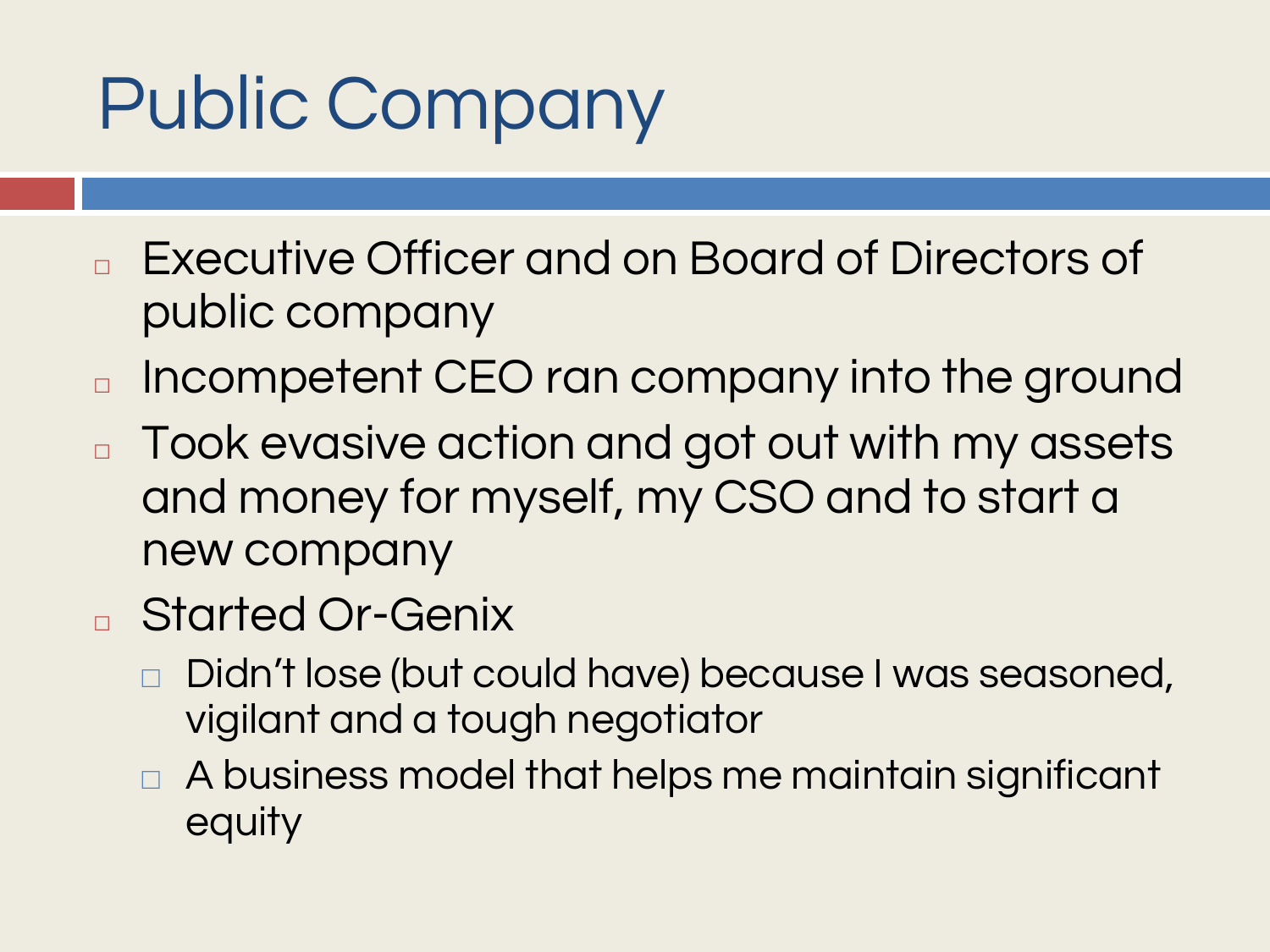## Public Company

- <sup>◻</sup> Executive Officer and on Board of Directors of public company
- □ Incompetent CEO ran company into the ground
- □ Took evasive action and got out with my assets and money for myself, my CSO and to start a new company
- <sup>◻</sup> Started Or-Genix
	- ⬜ Didn't lose (but could have) because I was seasoned, vigilant and a tough negotiator
	- ⬜ A business model that helps me maintain significant equity